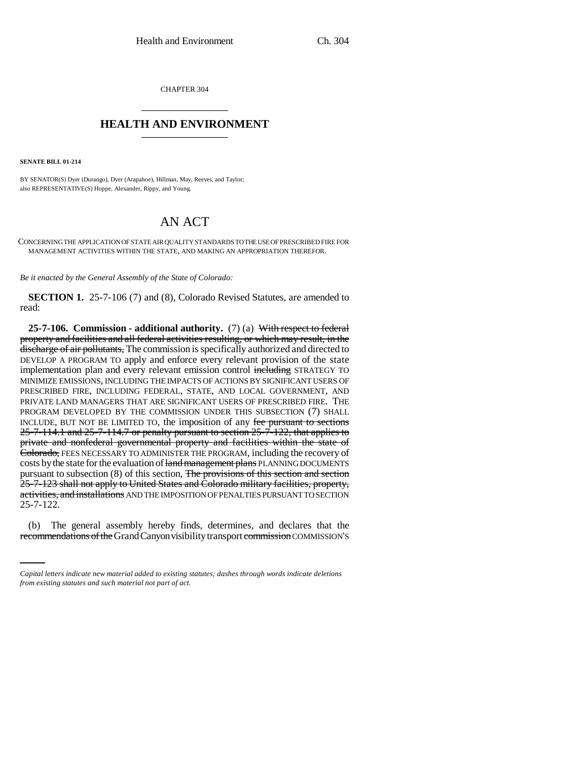CHAPTER 304 \_\_\_\_\_\_\_\_\_\_\_\_\_\_\_

## **HEALTH AND ENVIRONMENT** \_\_\_\_\_\_\_\_\_\_\_\_\_\_\_

**SENATE BILL 01-214**

BY SENATOR(S) Dyer (Durango), Dyer (Arapahoe), Hillman, May, Reeves, and Taylor; also REPRESENTATIVE(S) Hoppe, Alexander, Rippy, and Young.

## AN ACT

CONCERNING THE APPLICATION OF STATE AIR QUALITY STANDARDS TO THE USE OF PRESCRIBED FIRE FOR MANAGEMENT ACTIVITIES WITHIN THE STATE, AND MAKING AN APPROPRIATION THEREFOR.

*Be it enacted by the General Assembly of the State of Colorado:*

**SECTION 1.** 25-7-106 (7) and (8), Colorado Revised Statutes, are amended to read:

**25-7-106. Commission - additional authority.** (7) (a) With respect to federal property and facilities and all federal activities resulting, or which may result, in the discharge of air pollutants, The commission is specifically authorized and directed to DEVELOP A PROGRAM TO apply and enforce every relevant provision of the state implementation plan and every relevant emission control including STRATEGY TO MINIMIZE EMISSIONS, INCLUDING THE IMPACTS OF ACTIONS BY SIGNIFICANT USERS OF PRESCRIBED FIRE, INCLUDING FEDERAL, STATE, AND LOCAL GOVERNMENT, AND PRIVATE LAND MANAGERS THAT ARE SIGNIFICANT USERS OF PRESCRIBED FIRE. THE PROGRAM DEVELOPED BY THE COMMISSION UNDER THIS SUBSECTION (7) SHALL INCLUDE, BUT NOT BE LIMITED TO, the imposition of any fee pursuant to sections  $25-7-114.1$  and  $25-7-114.7$  or penalty pursuant to section  $25-7-122$ , that applies to private and nonfederal governmental property and facilities within the state of Colorado, FEES NECESSARY TO ADMINISTER THE PROGRAM, including the recovery of costs by the state for the evaluation of land management plans PLANNING DOCUMENTS pursuant to subsection (8) of this section, The provisions of this section and section 25-7-123 shall not apply to United States and Colorado military facilities, property, activities, and installations AND THE IMPOSITION OF PENALTIES PURSUANT TO SECTION 25-7-122.

(b) The general assembly hereby finds, determines, and declares that the recommendations of the Grand Canyon visibility transport commission COMMISSION'S

*Capital letters indicate new material added to existing statutes; dashes through words indicate deletions from existing statutes and such material not part of act.*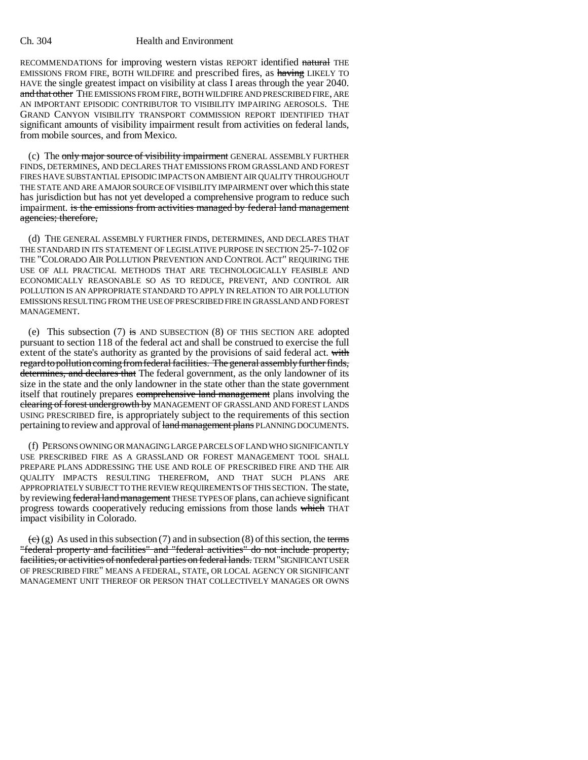## Ch. 304 Health and Environment

RECOMMENDATIONS for improving western vistas REPORT identified natural THE EMISSIONS FROM FIRE, BOTH WILDFIRE and prescribed fires, as having LIKELY TO HAVE the single greatest impact on visibility at class I areas through the year 2040. and that other THE EMISSIONS FROM FIRE, BOTH WILDFIRE AND PRESCRIBED FIRE, ARE AN IMPORTANT EPISODIC CONTRIBUTOR TO VISIBILITY IMPAIRING AEROSOLS. THE GRAND CANYON VISIBILITY TRANSPORT COMMISSION REPORT IDENTIFIED THAT significant amounts of visibility impairment result from activities on federal lands, from mobile sources, and from Mexico.

(c) The only major source of visibility impairment GENERAL ASSEMBLY FURTHER FINDS, DETERMINES, AND DECLARES THAT EMISSIONS FROM GRASSLAND AND FOREST FIRES HAVE SUBSTANTIAL EPISODIC IMPACTS ON AMBIENT AIR QUALITY THROUGHOUT THE STATE AND ARE A MAJOR SOURCE OF VISIBILITY IMPAIRMENT over which this state has jurisdiction but has not yet developed a comprehensive program to reduce such impairment. is the emissions from activities managed by federal land management agencies; therefore,

(d) THE GENERAL ASSEMBLY FURTHER FINDS, DETERMINES, AND DECLARES THAT THE STANDARD IN ITS STATEMENT OF LEGISLATIVE PURPOSE IN SECTION 25-7-102 OF THE "COLORADO AIR POLLUTION PREVENTION AND CONTROL ACT" REQUIRING THE USE OF ALL PRACTICAL METHODS THAT ARE TECHNOLOGICALLY FEASIBLE AND ECONOMICALLY REASONABLE SO AS TO REDUCE, PREVENT, AND CONTROL AIR POLLUTION IS AN APPROPRIATE STANDARD TO APPLY IN RELATION TO AIR POLLUTION EMISSIONS RESULTING FROM THE USE OF PRESCRIBED FIRE IN GRASSLAND AND FOREST MANAGEMENT.

(e) This subsection  $(7)$  is AND SUBSECTION  $(8)$  OF THIS SECTION ARE adopted pursuant to section 118 of the federal act and shall be construed to exercise the full extent of the state's authority as granted by the provisions of said federal act. with regard to pollution coming from federal facilities. The general assembly further finds, determines, and declares that The federal government, as the only landowner of its size in the state and the only landowner in the state other than the state government itself that routinely prepares comprehensive land management plans involving the clearing of forest undergrowth by MANAGEMENT OF GRASSLAND AND FOREST LANDS USING PRESCRIBED fire, is appropriately subject to the requirements of this section pertaining to review and approval of land management plans PLANNING DOCUMENTS.

(f) PERSONS OWNING OR MANAGING LARGE PARCELS OF LAND WHO SIGNIFICANTLY USE PRESCRIBED FIRE AS A GRASSLAND OR FOREST MANAGEMENT TOOL SHALL PREPARE PLANS ADDRESSING THE USE AND ROLE OF PRESCRIBED FIRE AND THE AIR QUALITY IMPACTS RESULTING THEREFROM, AND THAT SUCH PLANS ARE APPROPRIATELY SUBJECT TO THE REVIEW REQUIREMENTS OF THIS SECTION. The state, by reviewing federal land management THESE TYPES OF plans, can achieve significant progress towards cooperatively reducing emissions from those lands which THAT impact visibility in Colorado.

 $\overline{(e)}$  (g) As used in this subsection (7) and in subsection (8) of this section, the terms "federal property and facilities" and "federal activities" do not include property, facilities, or activities of nonfederal parties on federal lands. TERM "SIGNIFICANT USER OF PRESCRIBED FIRE" MEANS A FEDERAL, STATE, OR LOCAL AGENCY OR SIGNIFICANT MANAGEMENT UNIT THEREOF OR PERSON THAT COLLECTIVELY MANAGES OR OWNS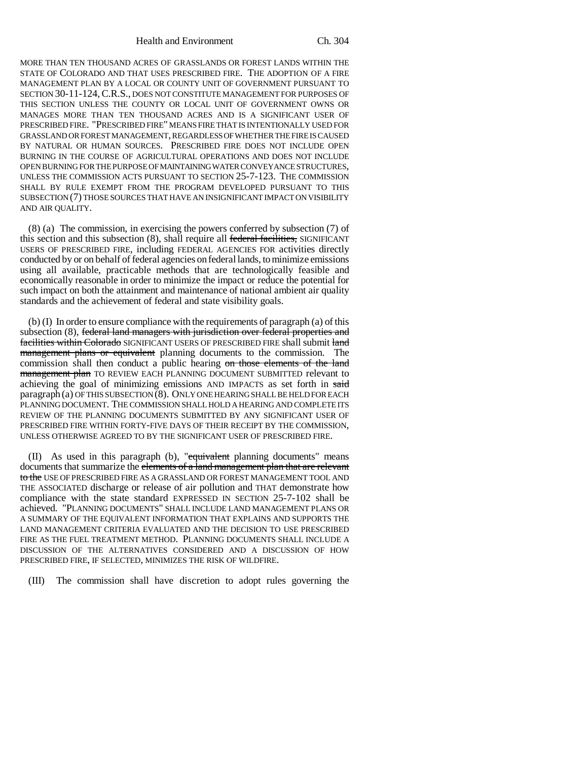Health and Environment Ch. 304

MORE THAN TEN THOUSAND ACRES OF GRASSLANDS OR FOREST LANDS WITHIN THE STATE OF COLORADO AND THAT USES PRESCRIBED FIRE. THE ADOPTION OF A FIRE MANAGEMENT PLAN BY A LOCAL OR COUNTY UNIT OF GOVERNMENT PURSUANT TO SECTION 30-11-124,C.R.S., DOES NOT CONSTITUTE MANAGEMENT FOR PURPOSES OF THIS SECTION UNLESS THE COUNTY OR LOCAL UNIT OF GOVERNMENT OWNS OR MANAGES MORE THAN TEN THOUSAND ACRES AND IS A SIGNIFICANT USER OF PRESCRIBED FIRE. "PRESCRIBED FIRE" MEANS FIRE THAT IS INTENTIONALLY USED FOR GRASSLAND OR FOREST MANAGEMENT, REGARDLESS OF WHETHER THE FIRE IS CAUSED BY NATURAL OR HUMAN SOURCES. PRESCRIBED FIRE DOES NOT INCLUDE OPEN BURNING IN THE COURSE OF AGRICULTURAL OPERATIONS AND DOES NOT INCLUDE OPEN BURNING FOR THE PURPOSE OF MAINTAINING WATER CONVEYANCE STRUCTURES, UNLESS THE COMMISSION ACTS PURSUANT TO SECTION 25-7-123. THE COMMISSION SHALL BY RULE EXEMPT FROM THE PROGRAM DEVELOPED PURSUANT TO THIS SUBSECTION (7) THOSE SOURCES THAT HAVE AN INSIGNIFICANT IMPACT ON VISIBILITY AND AIR QUALITY.

(8) (a) The commission, in exercising the powers conferred by subsection (7) of this section and this subsection (8), shall require all federal facilities, SIGNIFICANT USERS OF PRESCRIBED FIRE, including FEDERAL AGENCIES FOR activities directly conducted by or on behalf of federal agencies on federal lands, to minimize emissions using all available, practicable methods that are technologically feasible and economically reasonable in order to minimize the impact or reduce the potential for such impact on both the attainment and maintenance of national ambient air quality standards and the achievement of federal and state visibility goals.

(b) (I) In order to ensure compliance with the requirements of paragraph (a) of this subsection (8), federal land managers with jurisdiction over federal properties and facilities within Colorado SIGNIFICANT USERS OF PRESCRIBED FIRE shall submit land management plans or equivalent planning documents to the commission. The commission shall then conduct a public hearing on those elements of the land management plan TO REVIEW EACH PLANNING DOCUMENT SUBMITTED relevant to achieving the goal of minimizing emissions AND IMPACTS as set forth in said paragraph (a) OF THIS SUBSECTION (8). ONLY ONE HEARING SHALL BE HELD FOR EACH PLANNING DOCUMENT. THE COMMISSION SHALL HOLD A HEARING AND COMPLETE ITS REVIEW OF THE PLANNING DOCUMENTS SUBMITTED BY ANY SIGNIFICANT USER OF PRESCRIBED FIRE WITHIN FORTY-FIVE DAYS OF THEIR RECEIPT BY THE COMMISSION, UNLESS OTHERWISE AGREED TO BY THE SIGNIFICANT USER OF PRESCRIBED FIRE.

(II) As used in this paragraph (b), "equivalent planning documents" means documents that summarize the elements of a land management plan that are relevant to the USE OF PRESCRIBED FIRE AS A GRASSLAND OR FOREST MANAGEMENT TOOL AND THE ASSOCIATED discharge or release of air pollution and THAT demonstrate how compliance with the state standard EXPRESSED IN SECTION 25-7-102 shall be achieved. "PLANNING DOCUMENTS" SHALL INCLUDE LAND MANAGEMENT PLANS OR A SUMMARY OF THE EQUIVALENT INFORMATION THAT EXPLAINS AND SUPPORTS THE LAND MANAGEMENT CRITERIA EVALUATED AND THE DECISION TO USE PRESCRIBED FIRE AS THE FUEL TREATMENT METHOD. PLANNING DOCUMENTS SHALL INCLUDE A DISCUSSION OF THE ALTERNATIVES CONSIDERED AND A DISCUSSION OF HOW PRESCRIBED FIRE, IF SELECTED, MINIMIZES THE RISK OF WILDFIRE.

(III) The commission shall have discretion to adopt rules governing the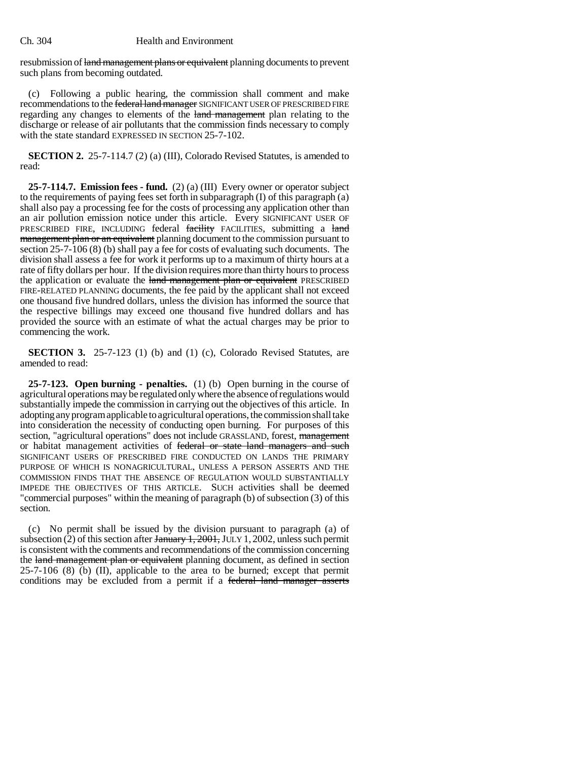## Ch. 304 Health and Environment

resubmission of land management plans or equivalent planning documents to prevent such plans from becoming outdated.

(c) Following a public hearing, the commission shall comment and make recommendations to the federal land manager SIGNIFICANT USER OF PRESCRIBED FIRE regarding any changes to elements of the land management plan relating to the discharge or release of air pollutants that the commission finds necessary to comply with the state standard EXPRESSED IN SECTION 25-7-102.

**SECTION 2.** 25-7-114.7 (2) (a) (III), Colorado Revised Statutes, is amended to read:

**25-7-114.7. Emission fees - fund.** (2) (a) (III) Every owner or operator subject to the requirements of paying fees set forth in subparagraph  $(I)$  of this paragraph  $(a)$ shall also pay a processing fee for the costs of processing any application other than an air pollution emission notice under this article. Every SIGNIFICANT USER OF PRESCRIBED FIRE, INCLUDING federal facility FACILITIES, submitting a land management plan or an equivalent planning document to the commission pursuant to section 25-7-106 (8) (b) shall pay a fee for costs of evaluating such documents. The division shall assess a fee for work it performs up to a maximum of thirty hours at a rate of fifty dollars per hour. If the division requires more than thirty hours to process the application or evaluate the land management plan or equivalent PRESCRIBED FIRE-RELATED PLANNING documents, the fee paid by the applicant shall not exceed one thousand five hundred dollars, unless the division has informed the source that the respective billings may exceed one thousand five hundred dollars and has provided the source with an estimate of what the actual charges may be prior to commencing the work.

**SECTION 3.** 25-7-123 (1) (b) and (1) (c), Colorado Revised Statutes, are amended to read:

**25-7-123. Open burning - penalties.** (1) (b) Open burning in the course of agricultural operations may be regulated only where the absence of regulations would substantially impede the commission in carrying out the objectives of this article. In adopting any program applicable to agricultural operations, the commission shall take into consideration the necessity of conducting open burning. For purposes of this section, "agricultural operations" does not include GRASSLAND, forest, management or habitat management activities of federal or state land managers and such SIGNIFICANT USERS OF PRESCRIBED FIRE CONDUCTED ON LANDS THE PRIMARY PURPOSE OF WHICH IS NONAGRICULTURAL, UNLESS A PERSON ASSERTS AND THE COMMISSION FINDS THAT THE ABSENCE OF REGULATION WOULD SUBSTANTIALLY IMPEDE THE OBJECTIVES OF THIS ARTICLE. SUCH activities shall be deemed "commercial purposes" within the meaning of paragraph (b) of subsection (3) of this section.

(c) No permit shall be issued by the division pursuant to paragraph (a) of subsection (2) of this section after  $\frac{1}{2001}$ , JULY 1, 2002, unless such permit is consistent with the comments and recommendations of the commission concerning the land management plan or equivalent planning document, as defined in section  $25-7-106$  (8) (b) (II), applicable to the area to be burned; except that permit conditions may be excluded from a permit if a federal land manager asserts